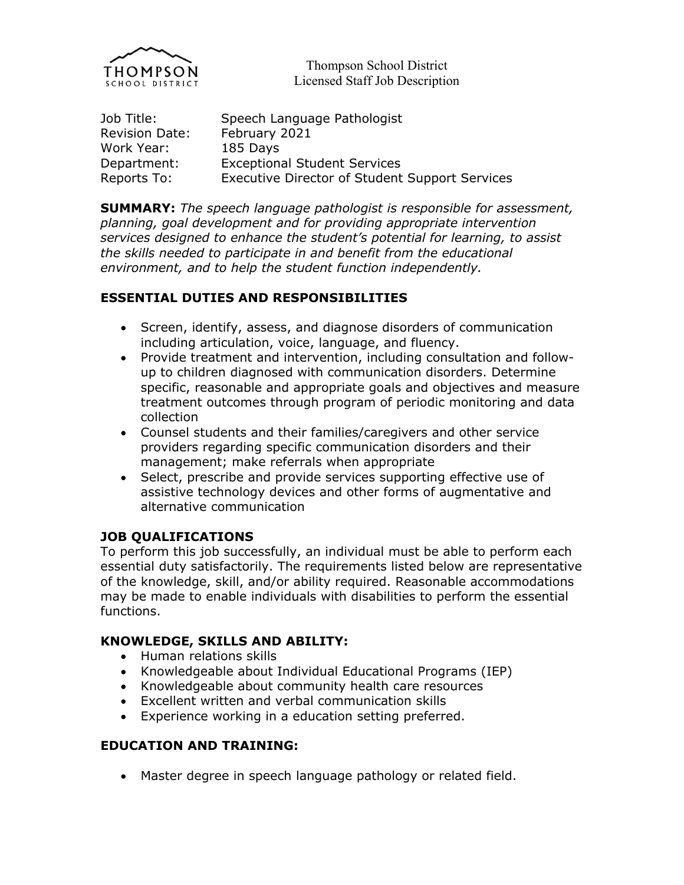

Thompson School District Licensed Staff Job Description

| Job Title:            | Speech Language Pathologist                           |
|-----------------------|-------------------------------------------------------|
| <b>Revision Date:</b> | February 2021                                         |
| Work Year:            | 185 Days                                              |
| Department:           | <b>Exceptional Student Services</b>                   |
| Reports To:           | <b>Executive Director of Student Support Services</b> |

**SUMMARY:** *The speech language pathologist is responsible for assessment, planning, goal development and for providing appropriate intervention services designed to enhance the student's potential for learning, to assist the skills needed to participate in and benefit from the educational environment, and to help the student function independently.*

## **ESSENTIAL DUTIES AND RESPONSIBILITIES**

- Screen, identify, assess, and diagnose disorders of communication including articulation, voice, language, and fluency.
- Provide treatment and intervention, including consultation and followup to children diagnosed with communication disorders. Determine specific, reasonable and appropriate goals and objectives and measure treatment outcomes through program of periodic monitoring and data collection
- Counsel students and their families/caregivers and other service providers regarding specific communication disorders and their management; make referrals when appropriate
- Select, prescribe and provide services supporting effective use of assistive technology devices and other forms of augmentative and alternative communication

### **JOB QUALIFICATIONS**

To perform this job successfully, an individual must be able to perform each essential duty satisfactorily. The requirements listed below are representative of the knowledge, skill, and/or ability required. Reasonable accommodations may be made to enable individuals with disabilities to perform the essential functions.

## **KNOWLEDGE, SKILLS AND ABILITY:**

- Human relations skills
- Knowledgeable about Individual Educational Programs (IEP)
- Knowledgeable about community health care resources
- Excellent written and verbal communication skills
- Experience working in a education setting preferred.

#### **EDUCATION AND TRAINING:**

Master degree in speech language pathology or related field.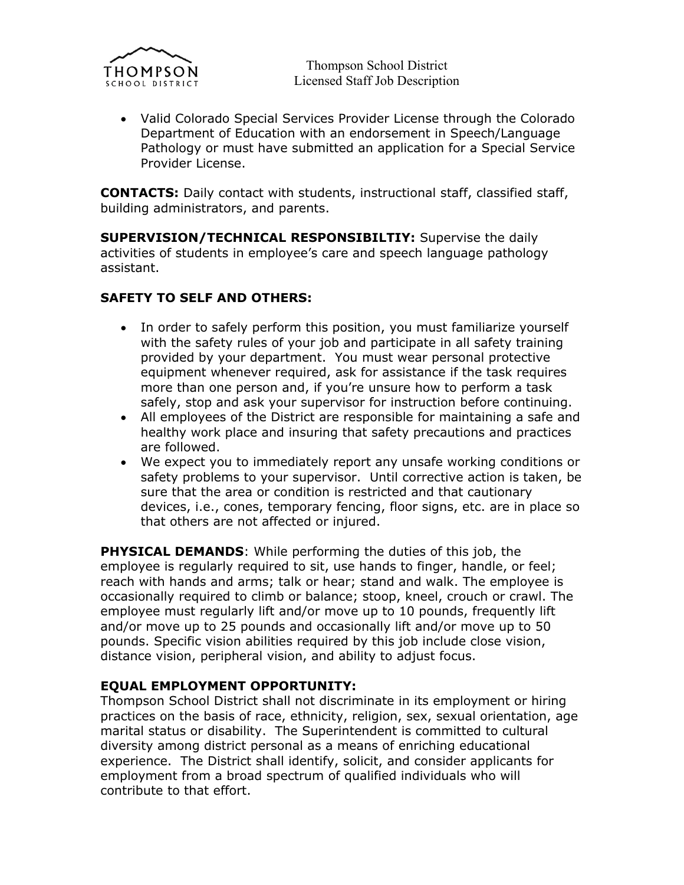

Thompson School District Licensed Staff Job Description

 Valid Colorado Special Services Provider License through the Colorado Department of Education with an endorsement in Speech/Language Pathology or must have submitted an application for a Special Service Provider License.

**CONTACTS:** Daily contact with students, instructional staff, classified staff, building administrators, and parents.

**SUPERVISION/TECHNICAL RESPONSIBILTIY:** Supervise the daily activities of students in employee's care and speech language pathology assistant.

## **SAFETY TO SELF AND OTHERS:**

- In order to safely perform this position, you must familiarize yourself with the safety rules of your job and participate in all safety training provided by your department. You must wear personal protective equipment whenever required, ask for assistance if the task requires more than one person and, if you're unsure how to perform a task safely, stop and ask your supervisor for instruction before continuing.
- All employees of the District are responsible for maintaining a safe and healthy work place and insuring that safety precautions and practices are followed.
- We expect you to immediately report any unsafe working conditions or safety problems to your supervisor. Until corrective action is taken, be sure that the area or condition is restricted and that cautionary devices, i.e., cones, temporary fencing, floor signs, etc. are in place so that others are not affected or injured.

**PHYSICAL DEMANDS**: While performing the duties of this job, the employee is regularly required to sit, use hands to finger, handle, or feel; reach with hands and arms; talk or hear; stand and walk. The employee is occasionally required to climb or balance; stoop, kneel, crouch or crawl. The employee must regularly lift and/or move up to 10 pounds, frequently lift and/or move up to 25 pounds and occasionally lift and/or move up to 50 pounds. Specific vision abilities required by this job include close vision, distance vision, peripheral vision, and ability to adjust focus.

#### **EQUAL EMPLOYMENT OPPORTUNITY:**

Thompson School District shall not discriminate in its employment or hiring practices on the basis of race, ethnicity, religion, sex, sexual orientation, age marital status or disability. The Superintendent is committed to cultural diversity among district personal as a means of enriching educational experience. The District shall identify, solicit, and consider applicants for employment from a broad spectrum of qualified individuals who will contribute to that effort.